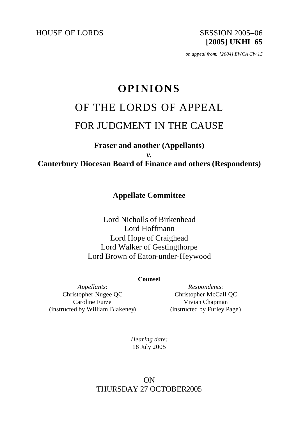HOUSE OF LORDS SESSION 2005-06

**[2005] UKHL 65**

*on appeal from: [2004] EWCA Civ 15*

## **OPINIONS**

# OF THE LORDS OF APPEAL FOR JUDGMENT IN THE CAUSE

## **Fraser and another (Appellants)** *v.* **Canterbury Diocesan Board of Finance and others (Respondents)**

### **Appellate Committee**

Lord Nicholls of Birkenhead Lord Hoffmann Lord Hope of Craighead Lord Walker of Gestingthorpe Lord Brown of Eaton-under-Heywood

#### **Counsel**

*Appellants*: Christopher Nugee QC Caroline Furze (instructed by William Blakeney)

*Respondents*: Christopher McCall QC Vivian Chapman (instructed by Furley Page)

*Hearing date:* 18 July 2005

## ON THURSDAY 27 OCTOBER2005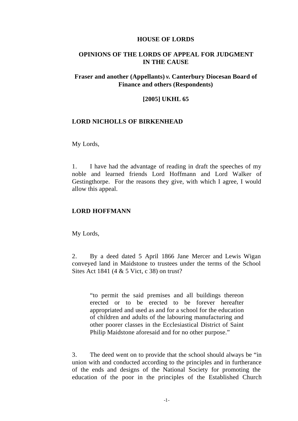#### **HOUSE OF LORDS**

#### **OPINIONS OF THE LORDS OF APPEAL FOR JUDGMENT IN THE CAUSE**

#### **Fraser and another (Appellants)** *v.* **Canterbury Diocesan Board of Finance and others (Respondents)**

#### **[2005] UKHL 65**

#### **LORD NICHOLLS OF BIRKENHEAD**

#### My Lords,

1. I have had the advantage of reading in draft the speeches of my noble and learned friends Lord Hoffmann and Lord Walker of Gestingthorpe. For the reasons they give, with which I agree, I would allow this appeal.

#### **LORD HOFFMANN**

My Lords,

2. By a deed dated 5 April 1866 Jane Mercer and Lewis Wigan conveyed land in Maidstone to trustees under the terms of the School Sites Act 1841 (4 & 5 Vict, c 38) on trust?

"to permit the said premises and all buildings thereon erected or to be erected to be forever hereafter appropriated and used as and for a school for the education of children and adults of the labouring manufacturing and other poorer classes in the Ecclesiastical District of Saint Philip Maidstone aforesaid and for no other purpose."

3. The deed went on to provide that the school should always be "in union with and conducted according to the principles and in furtherance of the ends and designs of the National Society for promoting the education of the poor in the principles of the Established Church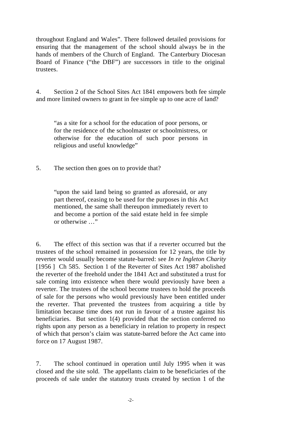throughout England and Wales". There followed detailed provisions for ensuring that the management of the school should always be in the hands of members of the Church of England. The Canterbury Diocesan Board of Finance ("the DBF") are successors in title to the original trustees.

4. Section 2 of the School Sites Act 1841 empowers both fee simple and more limited owners to grant in fee simple up to one acre of land?

"as a site for a school for the education of poor persons, or for the residence of the schoolmaster or schoolmistress, or otherwise for the education of such poor persons in religious and useful knowledge"

5. The section then goes on to provide that?

"upon the said land being so granted as aforesaid, or any part thereof, ceasing to be used for the purposes in this Act mentioned, the same shall thereupon immediately revert to and become a portion of the said estate held in fee simple or otherwise …"

6. The effect of this section was that if a reverter occurred but the trustees of the school remained in possession for 12 years, the title by reverter would usually become statute-barred: see *In re Ingleton Charity* [1956] Ch 585. Section 1 of the Reverter of Sites Act 1987 abolished the reverter of the freehold under the 1841 Act and substituted a trust for sale coming into existence when there would previously have been a reverter. The trustees of the school become trustees to hold the proceeds of sale for the persons who would previously have been entitled under the reverter. That prevented the trustees from acquiring a title by limitation because time does not run in favour of a trustee against his beneficiaries. But section 1(4) provided that the section conferred no rights upon any person as a beneficiary in relation to property in respect of which that person's claim was statute-barred before the Act came into force on 17 August 1987.

7. The school continued in operation until July 1995 when it was closed and the site sold. The appellants claim to be beneficiaries of the proceeds of sale under the statutory trusts created by section 1 of the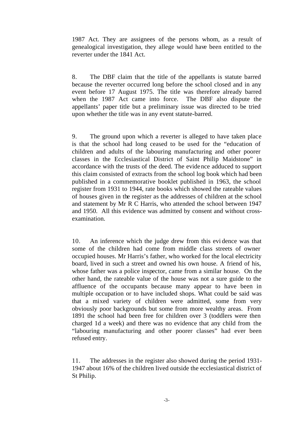1987 Act. They are assignees of the persons whom, as a result of genealogical investigation, they allege would have been entitled to the reverter under the 1841 Act.

8. The DBF claim that the title of the appellants is statute barred because the reverter occurred long before the school closed and in any event before 17 August 1975. The title was therefore already barred when the 1987 Act came into force. The DBF also dispute the appellants' paper title but a preliminary issue was directed to be tried upon whether the title was in any event statute-barred.

9. The ground upon which a reverter is alleged to have taken place is that the school had long ceased to be used for the "education of children and adults of the labouring manufacturing and other poorer classes in the Ecclesiastical District of Saint Philip Maidstone" in accordance with the trusts of the deed. The evidence adduced to support this claim consisted of extracts from the school log book which had been published in a commemorative booklet published in 1963, the school register from 1931 to 1944, rate books which showed the rateable values of houses given in the register as the addresses of children at the school and statement by Mr R C Harris, who attended the school between 1947 and 1950. All this evidence was admitted by consent and without crossexamination.

10. An inference which the judge drew from this evi dence was that some of the children had come from middle class streets of owner occupied houses. Mr Harris's father, who worked for the local electricity board, lived in such a street and owned his own house. A friend of his, whose father was a police inspector, came from a similar house. On the other hand, the rateable value of the house was not a sure guide to the affluence of the occupants because many appear to have been in multiple occupation or to have included shops. What could be said was that a mixed variety of children were admitted, some from very obviously poor backgrounds but some from more wealthy areas. From 1891 the school had been free for children over 3 (toddlers were then charged 1d a week) and there was no evidence that any child from the "labouring manufacturing and other poorer classes" had ever been refused entry.

11. The addresses in the register also showed during the period 1931- 1947 about 16% of the children lived outside the ecclesiastical district of St Philip.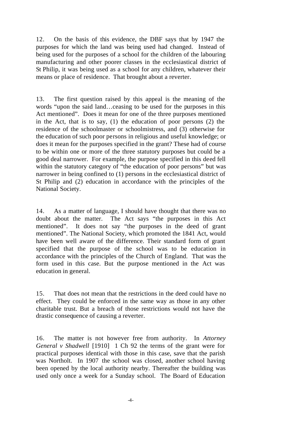12. On the basis of this evidence, the DBF says that by 1947 the purposes for which the land was being used had changed. Instead of being used for the purposes of a school for the children of the labouring manufacturing and other poorer classes in the ecclesiastical district of St Philip, it was being used as a school for any children, whatever their means or place of residence. That brought about a reverter.

13. The first question raised by this appeal is the meaning of the words "upon the said land…ceasing to be used for the purposes in this Act mentioned". Does it mean for one of the three purposes mentioned in the Act, that is to say, (1) the education of poor persons (2) the residence of the schoolmaster or schoolmistress, and (3) otherwise for the education of such poor persons in religious and useful knowledge; or does it mean for the purposes specified in the grant? These had of course to be within one or more of the three statutory purposes but could be a good deal narrower. For example, the purpose specified in this deed fell within the statutory category of "the education of poor persons" but was narrower in being confined to (1) persons in the ecclesiastical district of St Philip and (2) education in accordance with the principles of the National Society.

14. As a matter of language, I should have thought that there was no doubt about the matter. The Act says "the purposes in this Act mentioned". It does not say "the purposes in the deed of grant mentioned". The National Society, which promoted the 1841 Act, would have been well aware of the difference. Their standard form of grant specified that the purpose of the school was to be education in accordance with the principles of the Church of England. That was the form used in this case. But the purpose mentioned in the Act was education in general.

15. That does not mean that the restrictions in the deed could have no effect. They could be enforced in the same way as those in any other charitable trust. But a breach of those restrictions would not have the drastic consequence of causing a reverter.

16. The matter is not however free from authority. In *Attorney General v Shadwell* [1910] 1 Ch 92 the terms of the grant were for practical purposes identical with those in this case, save that the parish was Northolt. In 1907 the school was closed, another school having been opened by the local authority nearby. Thereafter the building was used only once a week for a Sunday school. The Board of Education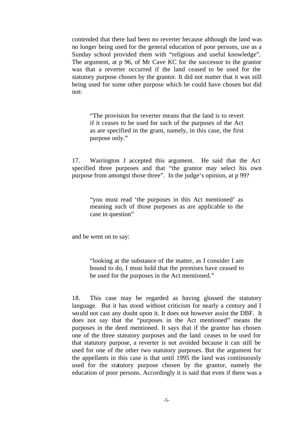contended that there had been no reverter because although the land was no longer being used for the general education of poor persons, use as a Sunday school provided them with "religious and useful knowledge". The argument, at p 96, of Mr Cave KC for the successor to the grantor was that a reverter occurred if the land ceased to be used for the statutory purpose chosen by the grantor. It did not matter that it was still being used for some other purpose which he could have chosen but did not:

"The provision for reverter means that the land is to revert if it ceases to be used for such of the purposes of the Act as are specified in the grant, namely, in this case, the first purpose only."

17. Warrington J accepted this argument. He said that the Act specified three purposes and that "the grantor may select his own purpose from amongst those three". In the judge's opinion, at p 99?

"you must read 'the purposes in this Act mentioned' as meaning such of those purposes as are applicable to the case in question"

and he went on to say:

"looking at the substance of the matter, as I consider I am bound to do, I must hold that the premises have ceased to be used for the purposes in the Act mentioned."

18. This case may be regarded as having glossed the statutory language. But it has stood without criticism for nearly a century and I would not cast any doubt upon it. It does not however assist the DBF. It does not say that the "purposes in the Act mentioned" means the purposes in the deed mentioned. It says that if the grantor has chosen one of the three statutory purposes and the land ceases to be used for that statutory purpose, a reverter is not avoided because it can still be used for one of the other two statutory purposes. But the argument for the appellants in this case is that until 1995 the land was continuously used for the statutory purpose chosen by the grantor, namely the education of poor persons. Accordingly it is said that even if there was a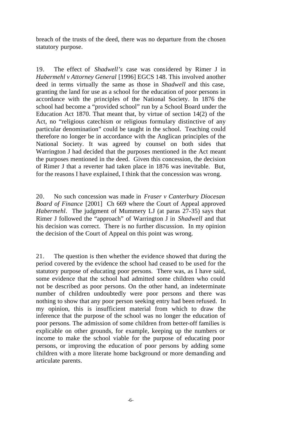breach of the trusts of the deed, there was no departure from the chosen statutory purpose.

19. The effect of *Shadwell's* case was considered by Rimer J in *Habermehl v Attorney General* [1996] EGCS 148. This involved another deed in terms virtually the same as those in *Shadwell* and this case, granting the land for use as a school for the education of poor persons in accordance with the principles of the National Society. In 1876 the school had become a "provided school" run by a School Board under the Education Act 1870. That meant that, by virtue of section 14(2) of the Act, no "religious catechism or religious formulary distinctive of any particular denomination" could be taught in the school. Teaching could therefore no longer be in accordance with the Anglican principles of the National Society. It was agreed by counsel on both sides that Warrington J had decided that the purposes mentioned in the Act meant the purposes mentioned in the deed. Given this concession, the decision of Rimer J that a reverter had taken place in 1876 was inevitable. But, for the reasons I have explained, I think that the concession was wrong.

20. No such concession was made in *Fraser v Canterbury Diocesan Board of Finance* [2001] Ch 669 where the Court of Appeal approved *Habermehl*. The judgment of Mummery LJ (at paras 27-35) says that Rimer J followed the "approach" of Warrington J in *Shadwell* and that his decision was correct. There is no further discussion. In my opinion the decision of the Court of Appeal on this point was wrong.

21. The question is then whether the evidence showed that during the period covered by the evidence the school had ceased to be used for the statutory purpose of educating poor persons. There was, as I have said, some evidence that the school had admitted some children who could not be described as poor persons. On the other hand, an indeterminate number of children undoubtedly were poor persons and there was nothing to show that any poor person seeking entry had been refused. In my opinion, this is insufficient material from which to draw the inference that the purpose of the school was no longer the education of poor persons. The admission of some children from better-off families is explicable on other grounds, for example, keeping up the numbers or income to make the school viable for the purpose of educating poor persons, or improving the education of poor persons by adding some children with a more literate home background or more demanding and articulate parents.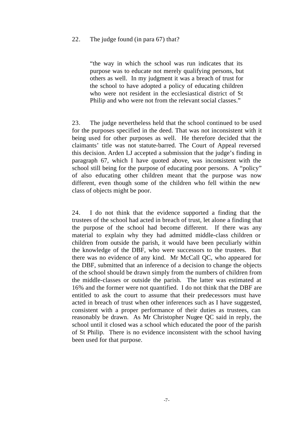#### 22. The judge found (in para 67) that?

"the way in which the school was run indicates that its purpose was to educate not merely qualifying persons, but others as well. In my judgment it was a breach of trust for the school to have adopted a policy of educating children who were not resident in the ecclesiastical district of St Philip and who were not from the relevant social classes."

23. The judge nevertheless held that the school continued to be used for the purposes specified in the deed. That was not inconsistent with it being used for other purposes as well. He therefore decided that the claimants' title was not statute-barred. The Court of Appeal reversed this decision. Arden LJ accepted a submission that the judge's finding in paragraph 67, which I have quoted above, was inconsistent with the school still being for the purpose of educating poor persons. A "policy" of also educating other children meant that the purpose was now different, even though some of the children who fell within the new class of objects might be poor.

24. I do not think that the evidence supported a finding that the trustees of the school had acted in breach of trust, let alone a finding that the purpose of the school had become different. If there was any material to explain why they had admitted middle-class children or children from outside the parish, it would have been peculiarly within the knowledge of the DBF, who were successors to the trustees. But there was no evidence of any kind. Mr McCall QC, who appeared for the DBF, submitted that an inference of a decision to change the objects of the school should be drawn simply from the numbers of children from the middle-classes or outside the parish. The latter was estimated at 16% and the former were not quantified. I do not think that the DBF are entitled to ask the court to assume that their predecessors must have acted in breach of trust when other inferences such as I have suggested, consistent with a proper performance of their duties as trustees, can reasonably be drawn. As Mr Christopher Nugee QC said in reply, the school until it closed was a school which educated the poor of the parish of St Philip. There is no evidence inconsistent with the school having been used for that purpose.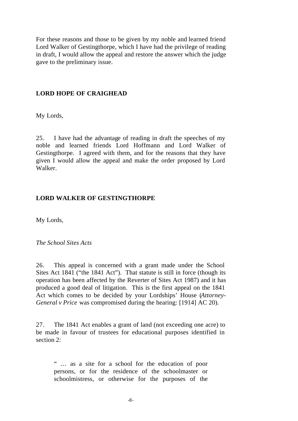For these reasons and those to be given by my noble and learned friend Lord Walker of Gestingthorpe, which I have had the privilege of reading in draft, I would allow the appeal and restore the answer which the judge gave to the preliminary issue.

#### **LORD HOPE OF CRAIGHEAD**

My Lords,

25. I have had the advantage of reading in draft the speeches of my noble and learned friends Lord Hoffmann and Lord Walker of Gestingthorpe. I agreed with them, and for the reasons that they have given I would allow the appeal and make the order proposed by Lord Walker.

#### **LORD WALKER OF GESTINGTHORPE**

My Lords,

*The School Sites Acts*

26. This appeal is concerned with a grant made under the School Sites Act 1841 ("the 1841 Act"). That statute is still in force (though its operation has been affected by the Reverter of Sites Act 1987) and it has produced a good deal of litigation. This is the first appeal on the 1841 Act which comes to be decided by your Lordships' House (*Attorney-General v Price* was compromised during the hearing: [1914] AC 20).

27. The 1841 Act enables a grant of land (not exceeding one acre) to be made in favour of trustees for educational purposes identified in section 2:

" … as a site for a school for the education of poor persons, or for the residence of the schoolmaster or schoolmistress, or otherwise for the purposes of the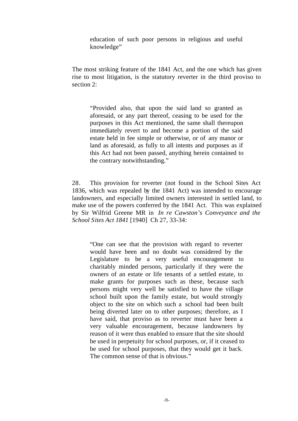education of such poor persons in religious and useful knowledge"

The most striking feature of the 1841 Act, and the one which has given rise to most litigation, is the statutory reverter in the third proviso to section 2:

"Provided also, that upon the said land so granted as aforesaid, or any part thereof, ceasing to be used for the purposes in this Act mentioned, the same shall thereupon immediately revert to and become a portion of the said estate held in fee simple or otherwise, or of any manor or land as aforesaid, as fully to all intents and purposes as if this Act had not been passed, anything herein contained to the contrary notwithstanding."

28. This provision for reverter (not found in the School Sites Act 1836, which was repealed by the 1841 Act) was intended to encourage landowners, and especially limited owners interested in settled land, to make use of the powers conferred by the 1841 Act. This was explained by Sir Wilfrid Greene MR in *In re Cawston's Conveyance and the School Sites Act 1841* [1940] Ch 27, 33-34:

"One can see that the provision with regard to reverter would have been and no doubt was considered by the Legislature to be a very useful encouragement to charitably minded persons, particularly if they were the owners of an estate or life tenants of a settled estate, to make grants for purposes such as these, because such persons might very well be satisfied to have the village school built upon the family estate, but would strongly object to the site on which such a school had been built being diverted later on to other purposes; therefore, as I have said, that proviso as to reverter must have been a very valuable encouragement, because landowners by reason of it were thus enabled to ensure that the site should be used in perpetuity for school purposes, or, if it ceased to be used for school purposes, that they would get it back. The common sense of that is obvious."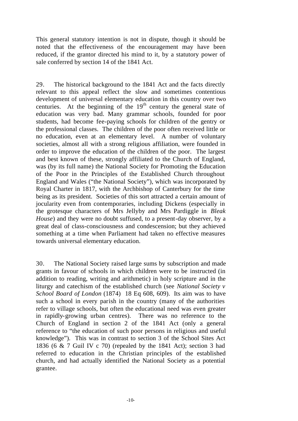This general statutory intention is not in dispute, though it should be noted that the effectiveness of the encouragement may have been reduced, if the grantor directed his mind to it, by a statutory power of sale conferred by section 14 of the 1841 Act.

29. The historical background to the 1841 Act and the facts directly relevant to this appeal reflect the slow and sometimes contentious development of universal elementary education in this country over two centuries. At the beginning of the  $19<sup>th</sup>$  century the general state of education was very bad. Many grammar schools, founded for poor students, had become fee-paying schools for children of the gentry or the professional classes. The children of the poor often received little or no education, even at an elementary level. A number of voluntary societies, almost all with a strong religious affiliation, were founded in order to improve the education of the children of the poor. The largest and best known of these, strongly affiliated to the Church of England, was (by its full name) the National Society for Promoting the Education of the Poor in the Principles of the Established Church throughout England and Wales ("the National Society"), which was incorporated by Royal Charter in 1817, with the Archbishop of Canterbury for the time being as its president. Societies of this sort attracted a certain amount of jocularity even from contemporaries, including Dickens (especially in the grotesque characters of Mrs Jellyby and Mrs Pardiggle in *Bleak House*) and they were no doubt suffused, to a present-day observer, by a great deal of class-consciousness and condescension; but they achieved something at a time when Parliament had taken no effective measures towards universal elementary education.

30. The National Society raised large sums by subscription and made grants in favour of schools in which children were to be instructed (in addition to reading, writing and arithmetic) in holy scripture and in the liturgy and catechism of the established church (see *National Society v School Board of London* (1874) 18 Eq 608, 609). Its aim was to have such a school in every parish in the country (many of the authorities refer to village schools, but often the educational need was even greater in rapidly-growing urban centres). There was no reference to the Church of England in section 2 of the 1841 Act (only a general reference to "the education of such poor persons in religious and useful knowledge"). This was in contrast to section 3 of the School Sites Act 1836 (6 & 7 Guil IV c 70) (repealed by the 1841 Act); section 3 had referred to education in the Christian principles of the established church, and had actually identified the National Society as a potential grantee.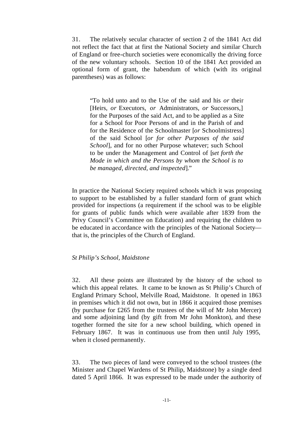31. The relatively secular character of section 2 of the 1841 Act did not reflect the fact that at first the National Society and similar Church of England or free-church societies were economically the driving force of the new voluntary schools. Section 10 of the 1841 Act provided an optional form of grant, the habendum of which (with its original parentheses) was as follows:

"To hold unto and to the Use of the said and his *or* their [Heirs, *or* Executors, *or* Administrators, *or* Successors,] for the Purposes of the said Act, and to be applied as a Site for a School for Poor Persons of and in the Parish of and for the Residence of the Schoolmaster [*or* Schoolmistress] of the said School [*or for other Purposes of the said School*], and for no other Purpose whatever; such School to be under the Management and Control of [*set forth the Mode in which and the Persons by whom the School is to be managed, directed, and inspected*]."

In practice the National Society required schools which it was proposing to support to be established by a fuller standard form of grant which provided for inspections (a requirement if the school was to be eligible for grants of public funds which were available after 1839 from the Privy Council's Committee on Education) and requiring the children to be educated in accordance with the principles of the National Society that is, the principles of the Church of England.

#### *St Philip's School, Maidstone*

32. All these points are illustrated by the history of the school to which this appeal relates. It came to be known as St Philip's Church of England Primary School, Melville Road, Maidstone. It opened in 1863 in premises which it did not own, but in 1866 it acquired those premises (by purchase for £265 from the trustees of the will of Mr John Mercer) and some adjoining land (by gift from Mr John Monkton), and these together formed the site for a new school building, which opened in February 1867. It was in continuous use from then until July 1995, when it closed permanently.

33. The two pieces of land were conveyed to the school trustees (the Minister and Chapel Wardens of St Philip, Maidstone) by a single deed dated 5 April 1866. It was expressed to be made under the authority of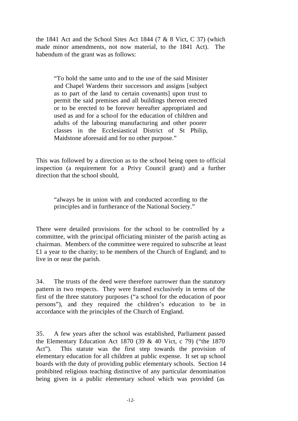the 1841 Act and the School Sites Act 1844 (7 & 8 Vict, C 37) (which made minor amendments, not now material, to the 1841 Act). The habendum of the grant was as follows:

"To hold the same unto and to the use of the said Minister and Chapel Wardens their successors and assigns [subject as to part of the land to certain covenants] upon trust to permit the said premises and all buildings thereon erected or to be erected to be forever hereafter appropriated and used as and for a school for the education of children and adults of the labouring manufacturing and other poorer classes in the Ecclesiastical District of St Philip, Maidstone aforesaid and for no other purpose."

This was followed by a direction as to the school being open to official inspection (a requirement for a Privy Council grant) and a further direction that the school should,

"always be in union with and conducted according to the principles and in furtherance of the National Society."

There were detailed provisions for the school to be controlled by a committee, with the principal officiating minister of the parish acting as chairman. Members of the committee were required to subscribe at least £1 a year to the charity; to be members of the Church of England; and to live in or near the parish.

34. The trusts of the deed were therefore narrower than the statutory pattern in two respects. They were framed exclusively in terms of the first of the three statutory purposes ("a school for the education of poor persons"), and they required the children's education to be in accordance with the principles of the Church of England.

35. A few years after the school was established, Parliament passed the Elementary Education Act 1870 (39  $&$  40 Vict, c 79) ("the 1870 Act"). This statute was the first step towards the provision of elementary education for all children at public expense. It set up school boards with the duty of providing public elementary schools. Section 14 prohibited religious teaching distinctive of any particular denomination being given in a public elementary school which was provided (as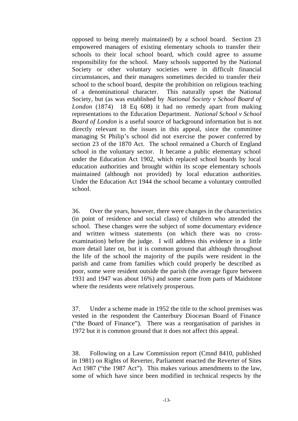opposed to being merely maintained) by a school board. Section 23 empowered managers of existing elementary schools to transfer their schools to their local school board, which could agree to assume responsibility for the school. Many schools supported by the National Society or other voluntary societies were in difficult financial circumstances, and their managers sometimes decided to transfer their school to the school board, despite the prohibition on religious teaching of a denominational character. This naturally upset the National Society, but (as was established by *National Society v School Board of London* (1874) 18 Eq 608) it had no remedy apart from making representations to the Education Department. *National School v School Board of London* is a useful source of background information but is not directly relevant to the issues in this appeal, since the committee managing St Philip's school did not exercise the power conferred by section 23 of the 1870 Act. The school remained a Church of England school in the voluntary sector. It became a public elementary school under the Education Act 1902, which replaced school boards by local education authorities and brought within its scope elementary schools maintained (although not provided) by local education authorities. Under the Education Act 1944 the school became a voluntary controlled school.

36. Over the years, however, there were changes in the characteristics (in point of residence and social class) of children who attended the school. These changes were the subject of some documentary evidence and written witness statements (on which there was no crossexamination) before the judge. I will address this evidence in a little more detail later on, but it is common ground that although throughout the life of the school the majority of the pupils were resident in the parish and came from families which could properly be described as poor, some were resident outside the parish (the average figure between 1931 and 1947 was about 16%) and some came from parts of Maidstone where the residents were relatively prosperous.

37. Under a scheme made in 1952 the title to the school premises was vested in the respondent the Canterbury Diocesan Board of Finance ("the Board of Finance"). There was a reorganisation of parishes in 1972 but it is common ground that it does not affect this appeal.

38. Following on a Law Commission report (Cmnd 8410, published in 1981) on Rights of Reverter, Parliament enacted the Reverter of Sites Act 1987 ("the 1987 Act"). This makes various amendments to the law, some of which have since been modified in technical respects by the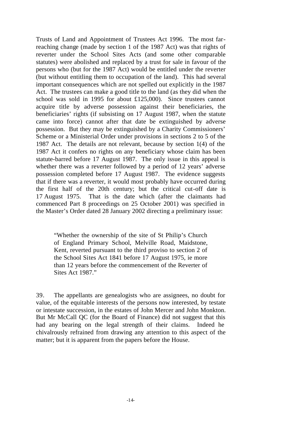Trusts of Land and Appointment of Trustees Act 1996. The most farreaching change (made by section 1 of the 1987 Act) was that rights of reverter under the School Sites Acts (and some other comparable statutes) were abolished and replaced by a trust for sale in favour of the persons who (but for the 1987 Act) would be entitled under the reverter (but without entitling them to occupation of the land). This had several important consequences which are not spelled out explicitly in the 1987 Act. The trustees can make a good title to the land (as they did when the school was sold in 1995 for about £125,000). Since trustees cannot acquire title by adverse possession against their beneficiaries, the beneficiaries' rights (if subsisting on 17 August 1987, when the statute came into force) cannot after that date be extinguished by adverse possession. But they may be extinguished by a Charity Commissioners' Scheme or a Ministerial Order under provisions in sections 2 to 5 of the 1987 Act. The details are not relevant, because by section 1(4) of the 1987 Act it confers no rights on any beneficiary whose claim has been statute-barred before 17 August 1987. The only issue in this appeal is whether there was a reverter followed by a period of 12 years' adverse possession completed before 17 August 1987. The evidence suggests that if there was a reverter, it would most probably have occurred during the first half of the 20th century; but the critical cut-off date is 17 August 1975. That is the date which (after the claimants had commenced Part 8 proceedings on 25 October 2001) was specified in the Master's Order dated 28 January 2002 directing a preliminary issue:

"Whether the ownership of the site of St Philip's Church of England Primary School, Melville Road, Maidstone, Kent, reverted pursuant to the third proviso to section 2 of the School Sites Act 1841 before 17 August 1975, ie more than 12 years before the commencement of the Reverter of Sites Act 1987."

39. The appellants are genealogists who are assignees, no doubt for value, of the equitable interests of the persons now interested, by testate or intestate succession, in the estates of John Mercer and John Monkton. But Mr McCall QC (for the Board of Finance) did not suggest that this had any bearing on the legal strength of their claims. Indeed he chivalrously refrained from drawing any attention to this aspect of the matter; but it is apparent from the papers before the House.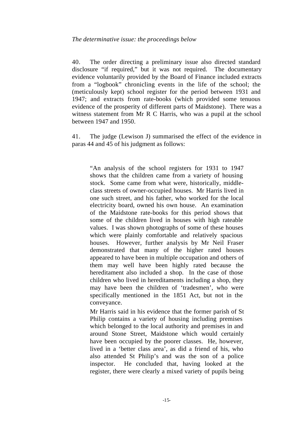40. The order directing a preliminary issue also directed standard disclosure "if required," but it was not required. The documentary evidence voluntarily provided by the Board of Finance included extracts from a "logbook" chronicling events in the life of the school; the (meticulously kept) school register for the period between 1931 and 1947; and extracts from rate-books (which provided some tenuous evidence of the prosperity of different parts of Maidstone). There was a witness statement from Mr R C Harris, who was a pupil at the school between 1947 and 1950.

41. The judge (Lewison J) summarised the effect of the evidence in paras 44 and 45 of his judgment as follows:

"An analysis of the school registers for 1931 to 1947 shows that the children came from a variety of housing stock. Some came from what were, historically, middleclass streets of owner-occupied houses. Mr Harris lived in one such street, and his father, who worked for the local electricity board, owned his own house. An examination of the Maidstone rate-books for this period shows that some of the children lived in houses with high rateable values. I was shown photographs of some of these houses which were plainly comfortable and relatively spacious houses. However, further analysis by Mr Neil Fraser demonstrated that many of the higher rated houses appeared to have been in multiple occupation and others of them may well have been highly rated because the hereditament also included a shop. In the case of those children who lived in hereditaments including a shop, they may have been the children of 'tradesmen', who were specifically mentioned in the 1851 Act, but not in the conveyance.

Mr Harris said in his evidence that the former parish of St Philip contains a variety of housing including premises which belonged to the local authority and premises in and around Stone Street, Maidstone which would certainly have been occupied by the poorer classes. He, however, lived in a 'better class area', as did a friend of his, who also attended St Philip's and was the son of a police inspector. He concluded that, having looked at the register, there were clearly a mixed variety of pupils being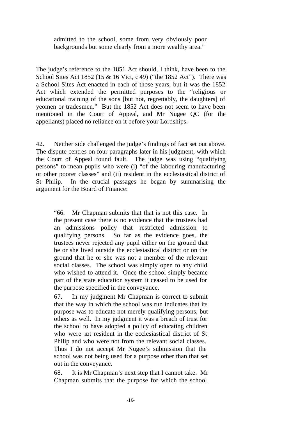admitted to the school, some from very obviously poor backgrounds but some clearly from a more wealthy area."

The judge's reference to the 1851 Act should, I think, have been to the School Sites Act 1852 (15 & 16 Vict, c 49) ("the 1852 Act"). There was a School Sites Act enacted in each of those years, but it was the 1852 Act which extended the permitted purposes to the "religious or educational training of the sons [but not, regrettably, the daughters] of yeomen or tradesmen." But the 1852 Act does not seem to have been mentioned in the Court of Appeal, and Mr Nugee QC (for the appellants) placed no reliance on it before your Lordships.

42. Neither side challenged the judge's findings of fact set out above. The dispute centres on four paragraphs later in his judgment, with which the Court of Appeal found fault. The judge was using "qualifying persons" to mean pupils who were (i) "of the labouring manufacturing or other poorer classes" and (ii) resident in the ecclesiastical district of St Philip. In the crucial passages he began by summarising the argument for the Board of Finance:

"66. Mr Chapman submits that that is not this case. In the present case there is no evidence that the trustees had an admissions policy that restricted admission to qualifying persons. So far as the evidence goes, the trustees never rejected any pupil either on the ground that he or she lived outside the ecclesiastical district or on the ground that he or she was not a member of the relevant social classes. The school was simply open to any child who wished to attend it. Once the school simply became part of the state education system it ceased to be used for the purpose specified in the conveyance.

67. In my judgment Mr Chapman is correct to submit that the way in which the school was run indicates that its purpose was to educate not merely qualifying persons, but others as well. In my judgment it was a breach of trust for the school to have adopted a policy of educating children who were mt resident in the ecclesiastical district of St Philip and who were not from the relevant social classes. Thus I do not accept Mr Nugee's submission that the school was not being used for a purpose other than that set out in the conveyance.

68. It is Mr Chapman's next step that I cannot take. Mr Chapman submits that the purpose for which the school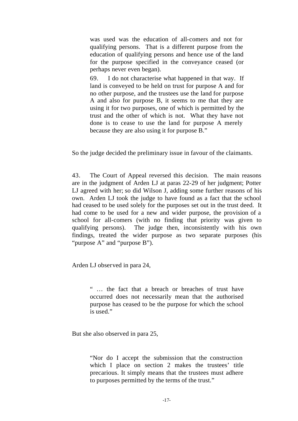was used was the education of all-comers and not for qualifying persons. That is a different purpose from the education of qualifying persons and hence use of the land for the purpose specified in the conveyance ceased (or perhaps never even began).

69. I do not characterise what happened in that way. If land is conveyed to be held on trust for purpose A and for no other purpose, and the trustees use the land for purpose A and also for purpose B, it seems to me that they are using it for two purposes, one of which is permitted by the trust and the other of which is not. What they have not done is to cease to use the land for purpose A merely because they are also using it for purpose B."

So the judge decided the preliminary issue in favour of the claimants.

43. The Court of Appeal reversed this decision. The main reasons are in the judgment of Arden LJ at paras 22-29 of her judgment; Potter LJ agreed with her; so did Wilson J, adding some further reasons of his own. Arden LJ took the judge to have found as a fact that the school had ceased to be used solely for the purposes set out in the trust deed. It had come to be used for a new and wider purpose, the provision of a school for all-comers (with no finding that priority was given to qualifying persons). The judge then, inconsistently with his own findings, treated the wider purpose as two separate purposes (his "purpose A" and "purpose B").

Arden LJ observed in para 24,

" … the fact that a breach or breaches of trust have occurred does not necessarily mean that the authorised purpose has ceased to be the purpose for which the school is used."

But she also observed in para 25,

"Nor do I accept the submission that the construction which I place on section 2 makes the trustees' title precarious. It simply means that the trustees must adhere to purposes permitted by the terms of the trust."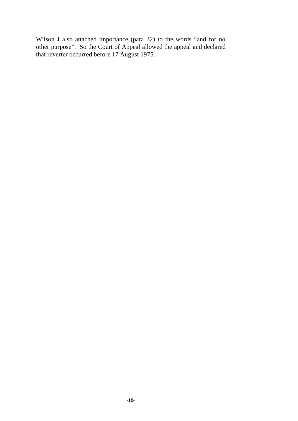Wilson J also attached importance (para 32) to the words "and for no other purpose". So the Court of Appeal allowed the appeal and declared that reverter occurred before 17 August 1975.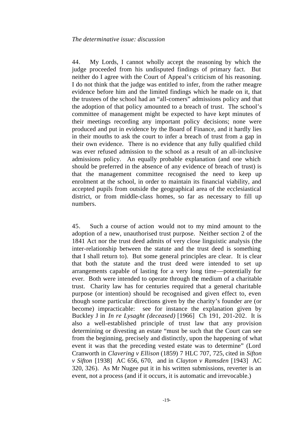44. My Lords, I cannot wholly accept the reasoning by which the judge proceeded from his undisputed findings of primary fact. But neither do I agree with the Court of Appeal's criticism of his reasoning. I do not think that the judge was entitled to infer, from the rather meagre evidence before him and the limited findings which he made on it, that the trustees of the school had an "all-comers" admissions policy and that the adoption of that policy amounted to a breach of trust. The school's committee of management might be expected to have kept minutes of their meetings recording any important policy decisions; none were produced and put in evidence by the Board of Finance, and it hardly lies in their mouths to ask the court to infer a breach of trust from a gap in their own evidence. There is no evidence that any fully qualified child was ever refused admission to the school as a result of an all-inclusive admissions policy. An equally probable explanation (and one which should be preferred in the absence of any evidence of breach of trust) is that the management committee recognised the need to keep up enrolment at the school, in order to maintain its financial viability, and accepted pupils from outside the geographical area of the ecclesiastical district, or from middle-class homes, so far as necessary to fill up numbers.

45. Such a course of action would not to my mind amount to the adoption of a new, unauthorised trust purpose. Neither section 2 of the 1841 Act nor the trust deed admits of very close linguistic analysis (the inter-relationship between the statute and the trust deed is something that I shall return to). But some general principles are clear. It is clear that both the statute and the trust deed were intended to set up arrangements capable of lasting for a very long time—potentially for ever. Both were intended to operate through the medium of a charitable trust. Charity law has for centuries required that a general charitable purpose (or intention) should be recognised and given effect to, even though some particular directions given by the charity's founder are (or become) impracticable: see for instance the explanation given by Buckley J in *In re Lysaght (deceased)* [1966] Ch 191, 201-202. It is also a well-established principle of trust law that any provision determining or divesting an estate "must be such that the Court can see from the beginning, precisely and distinctly, upon the happening of what event it was that the preceding vested estate was to determine" (Lord Cranworth in *Clavering v Ellison* (1859) 7 HLC 707, 725, cited in *Sifton v Sifton* [1938] AC 656, 670, and in *Clayton v Ramsden* [1943] AC 320, 326). As Mr Nugee put it in his written submissions, reverter is an event, not a process (and if it occurs, it is automatic and irrevocable.)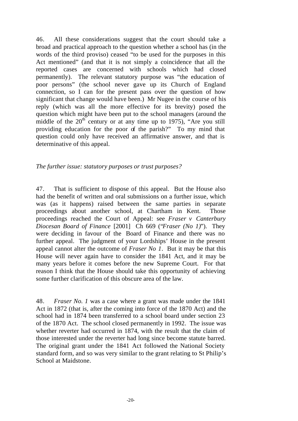46. All these considerations suggest that the court should take a broad and practical approach to the question whether a school has (in the words of the third proviso) ceased "to be used for the purposes in this Act mentioned" (and that it is not simply a coincidence that all the reported cases are concerned with schools which had closed permanently). The relevant statutory purpose was "the education of poor persons" (the school never gave up its Church of England connection, so I can for the present pass over the question of how significant that change would have been.) Mr Nugee in the course of his reply (which was all the more effective for its brevity) posed the question which might have been put to the school managers (around the middle of the  $20<sup>th</sup>$  century or at any time up to 1975), "Are you still providing education for the poor of the parish?" To my mind that question could only have received an affirmative answer, and that is determinative of this appeal.

#### *The further issue: statutory purposes or trust purposes?*

47. That is sufficient to dispose of this appeal. But the House also had the benefit of written and oral submissions on a further issue, which was (as it happens) raised between the same parties in separate proceedings about another school, at Chartham in Kent. Those proceedings reached the Court of Appeal: see *Fraser v Canterbury Diocesan Board of Finance* [2001] Ch 669 ("*Fraser (No 1)*"). They were deciding in favour of the Board of Finance and there was no further appeal. The judgment of your Lordships' House in the present appeal cannot alter the outcome of *Fraser No 1*. But it may be that this House will never again have to consider the 1841 Act, and it may be many years before it comes before the new Supreme Court. For that reason I think that the House should take this opportunity of achieving some further clarification of this obscure area of the law.

48. *Fraser No. 1* was a case where a grant was made under the 1841 Act in 1872 (that is, after the coming into force of the 1870 Act) and the school had in 1874 been transferred to a school board under section 23 of the 1870 Act. The school closed permanently in 1992. The issue was whether reverter had occurred in 1874, with the result that the claim of those interested under the reverter had long since become statute barred. The original grant under the 1841 Act followed the National Society standard form, and so was very similar to the grant relating to St Philip's School at Maidstone.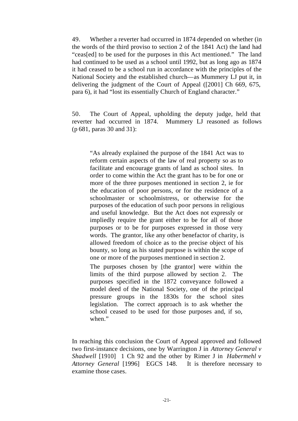49. Whether a reverter had occurred in 1874 depended on whether (in the words of the third proviso to section 2 of the 1841 Act) the land had "ceas[ed] to be used for the purposes in this Act mentioned." The land had continued to be used as a school until 1992, but as long ago as 1874 it had ceased to be a school run in accordance with the principles of the National Society and the established church—as Mummery LJ put it, in delivering the judgment of the Court of Appeal ([2001] Ch 669, 675, para 6), it had "lost its essentially Church of England character."

50. The Court of Appeal, upholding the deputy judge, held that reverter had occurred in 1874. Mummery LJ reasoned as follows (p 681, paras 30 and 31):

"As already explained the purpose of the 1841 Act was to reform certain aspects of the law of real property so as to facilitate and encourage grants of land as school sites. In order to come within the Act the grant has to be for one or more of the three purposes mentioned in section 2, ie for the education of poor persons, or for the residence of a schoolmaster or schoolmistress, or otherwise for the purposes of the education of such poor persons in religious and useful knowledge. But the Act does not expressly or impliedly require the grant either to be for all of those purposes or to be for purposes expressed in those very words. The grantor, like any other benefactor of charity, is allowed freedom of choice as to the precise object of his bounty, so long as his stated purpose is within the scope of one or more of the purposes mentioned in section 2.

The purposes chosen by [the grantor] were within the limits of the third purpose allowed by section 2. The purposes specified in the 1872 conveyance followed a model deed of the National Society, one of the principal pressure groups in the 1830s for the school sites legislation. The correct approach is to ask whether the school ceased to be used for those purposes and, if so, when."

In reaching this conclusion the Court of Appeal approved and followed two first-instance decisions, one by Warrington J in *Attorney General v Shadwell* [1910] 1 Ch 92 and the other by Rimer J in *Habermehl v Attorney General* [1996] EGCS 148. It is therefore necessary to examine those cases.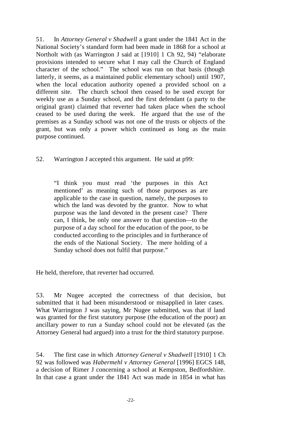51. In *Attorney General v Shadwell* a grant under the 1841 Act in the National Society's standard form had been made in 1868 for a school at Northolt with (as Warrington J said at [1910] 1 Ch 92, 94) "elaborate provisions intended to secure what I may call the Church of England character of the school." The school was run on that basis (though latterly, it seems, as a maintained public elementary school) until 1907, when the local education authority opened a provided school on a different site. The church school then ceased to be used except for weekly use as a Sunday school, and the first defendant (a party to the original grant) claimed that reverter had taken place when the school ceased to be used during the week. He argued that the use of the premises as a Sunday school was not one of the trusts or objects of the grant, but was only a power which continued as long as the main purpose continued.

52. Warrington J accepted this argument. He said at p99:

"I think you must read 'the purposes in this Act mentioned' as meaning such of those purposes as are applicable to the case in question, namely, the purposes to which the land was devoted by the grantor. Now to what purpose was the land devoted in the present case? There can, I think, be only one answer to that question—to the purpose of a day school for the education of the poor, to be conducted according to the principles and in furtherance of the ends of the National Society. The mere holding of a Sunday school does not fulfil that purpose."

He held, therefore, that reverter had occurred.

53. Mr Nugee accepted the correctness of that decision, but submitted that it had been misunderstood or misapplied in later cases. What Warrington J was saying, Mr Nugee submitted, was that if land was granted for the first statutory purpose (the education of the poor) an ancillary power to run a Sunday school could not be elevated (as the Attorney General had argued) into a trust for the third statutory purpose.

54. The first case in which *Attorney General v Shadwell* [1910] 1 Ch 92 was followed was *Habermehl v Attorney General* [1996] EGCS 148, a decision of Rimer J concerning a school at Kempston, Bedfordshire. In that case a grant under the 1841 Act was made in 1854 in what has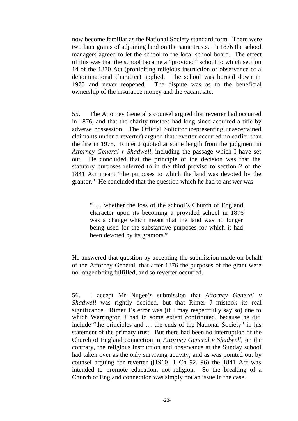now become familiar as the National Society standard form. There were two later grants of adjoining land on the same trusts. In 1876 the school managers agreed to let the school to the local school board. The effect of this was that the school became a "provided" school to which section 14 of the 1870 Act (prohibiting religious instruction or observance of a denominational character) applied. The school was burned down in 1975 and never reopened. The dispute was as to the beneficial ownership of the insurance money and the vacant site.

55. The Attorney General's counsel argued that reverter had occurred in 1876, and that the charity trustees had long since acquired a title by adverse possession. The Official Solicitor (representing unascertained claimants under a reverter) argued that reverter occurred no earlier than the fire in 1975. Rimer J quoted at some length from the judgment in *Attorney General v Shadwell,* including the passage which I have set out. He concluded that the principle of the decision was that the statutory purposes referred to in the third proviso to section 2 of the 1841 Act meant "the purposes to which the land was devoted by the grantor." He concluded that the question which he had to answer was

" … whether the loss of the school's Church of England character upon its becoming a provided school in 1876 was a change which meant that the land was no longer being used for the substantive purposes for which it had been devoted by its grantors."

He answered that question by accepting the submission made on behalf of the Attorney General, that after 1876 the purposes of the grant were no longer being fulfilled, and so reverter occurred.

56. I accept Mr Nugee's submission that *Attorney General v Shadwell* was rightly decided, but that Rimer J mistook its real significance. Rimer J's error was (if I may respectfully say so) one to which Warrington J had to some extent contributed, because he did include "the principles and … the ends of the National Society" in his statement of the primary trust. But there had been no interruption of the Church of England connection in *Attorney General v Shadwell*; on the contrary, the religious instruction and observance at the Sunday school had taken over as the only surviving activity; and as was pointed out by counsel arguing for reverter ([1910] 1 Ch 92, 96) the 1841 Act was intended to promote education, not religion. So the breaking of a Church of England connection was simply not an issue in the case.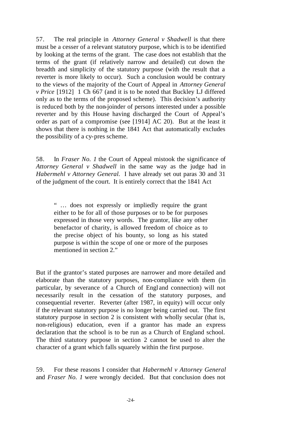57. The real principle in *Attorney General v Shadwell* is that there must be a cesser of a relevant statutory purpose, which is to be identified by looking at the terms of the grant. The case does not establish that the terms of the grant (if relatively narrow and detailed) cut down the breadth and simplicity of the statutory purpose (with the result that a reverter is more likely to occur). Such a conclusion would be contrary to the views of the majority of the Court of Appeal in *Attorney General v Price* [1912] 1 Ch 667 (and it is to be noted that Buckley LJ differed only as to the terms of the proposed scheme). This decision's authority is reduced both by the non-joinder of persons interested under a possible reverter and by this House having discharged the Court of Appeal's order as part of a compromise (see [1914] AC 20). But at the least it shows that there is nothing in the 1841 Act that automatically excludes the possibility of a cy-pres scheme.

58. In *Fraser No. 1* the Court of Appeal mistook the significance of *Attorney General v Shadwell* in the same way as the judge had in *Habermehl v Attorney General.* I have already set out paras 30 and 31 of the judgment of the court. It is entirely correct that the 1841 Act

" … does not expressly or impliedly require the grant either to be for all of those purposes or to be for purposes expressed in those very words. The grantor, like any other benefactor of charity, is allowed freedom of choice as to the precise object of his bounty, so long as his stated purpose is within the scope of one or more of the purposes mentioned in section 2."

But if the grantor's stated purposes are narrower and more detailed and elaborate than the statutory purposes, non-compliance with them (in particular, by severance of a Church of England connection) will not necessarily result in the cessation of the statutory purposes, and consequential reverter. Reverter (after 1987, in equity) will occur only if the relevant statutory purpose is no longer being carried out. The first statutory purpose in section 2 is consistent with wholly secular (that is, non-religious) education, even if a grantor has made an express declaration that the school is to be run as a Church of England school. The third statutory purpose in section 2 cannot be used to alter the character of a grant which falls squarely within the first purpose.

59. For these reasons I consider that *Habermehl v Attorney General* and *Fraser No. 1* were wrongly decided. But that conclusion does not